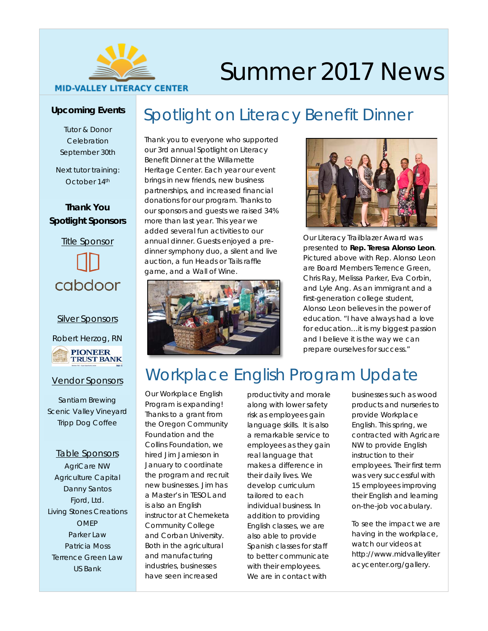

# Summer 2017 News

### **Upcoming Events**

Tutor & Donor **Celebration** *September 30th*

Next tutor training: *October 14th*

### **Thank You Spotlight Sponsors**



#### Silver Sponsors

Robert Herzog, RN



#### Vendor Sponsors

Santiam Brewing Scenic Valley Vineyard Tripp Dog Coffee

#### Table Sponsors

AgriCare NW Agriculture Capital Danny Santos Fjord, Ltd. Living Stones Creations OMEP Parker Law Patricia Moss Terrence Green Law US Bank

### Spotlight on Literacy Benefit Dinner

Thank you to everyone who supported our 3rd annual Spotlight on Literacy Benefit Dinner at the Willamette Heritage Center. Each year our event brings in new friends, new business partnerships, and increased financial donations for our program. Thanks to our sponsors and guests we raised 34% more than last year. This year we added several fun activities to our annual dinner. Guests enjoyed a predinner symphony duo, a silent and live auction, a fun Heads or Tails raffle game, and a Wall of Wine.





Our Literacy Trailblazer Award was presented to **Rep. Teresa Alonso Leon**. Pictured above with Rep. Alonso Leon are Board Members Terrence Green, Chris Ray, Melissa Parker, Eva Corbin, and Lyle Ang. As an immigrant and a first-generation college student, Alonso Leon believes in the power of education. "I have always had a love for education…it is my biggest passion and I believe it is the way we can prepare ourselves for success."

# Workplace English Program Update

Our Workplace English Program is expanding! Thanks to a grant from the Oregon Community Foundation and the Collins Foundation, we hired Jim Jamieson in January to coordinate the program and recruit new businesses. Jim has a Master's in TESOL and is also an English instructor at Chemeketa Community College and Corban University. Both in the agricultural and manufacturing industries, businesses have seen increased

productivity and morale along with lower safety risk as employees gain language skills. It is also a remarkable service to employees as they gain real language that makes a difference in their daily lives. We develop curriculum tailored to each individual business. In addition to providing English classes, we are also able to provide Spanish classes for staff to better communicate with their employees. We are in contact with

businesses such as wood products and nurseries to provide Workplace English. This spring, we contracted with Agricare NW to provide English instruction to their employees. Their first term was very successful with 15 employees improving their English and learning on-the-job vocabulary.

To see the impact we are having in the workplace, watch our videos at http://www.midvalleyliter acycenter.org/gallery.